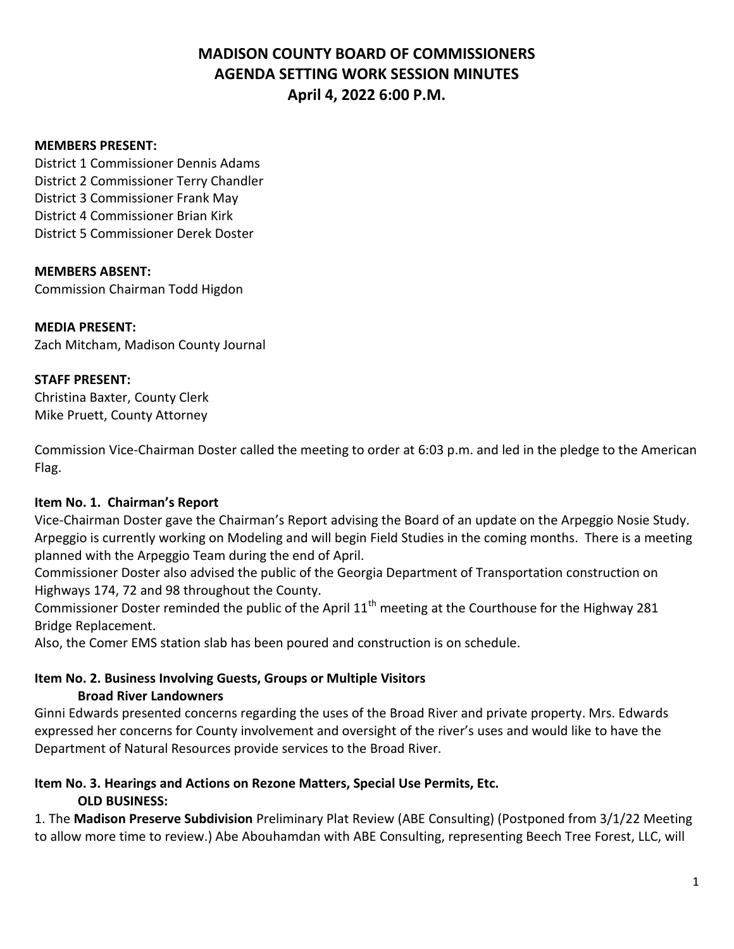### **MEMBERS PRESENT:**

District 1 Commissioner Dennis Adams District 2 Commissioner Terry Chandler District 3 Commissioner Frank May District 4 Commissioner Brian Kirk District 5 Commissioner Derek Doster

### **MEMBERS ABSENT:**

Commission Chairman Todd Higdon

### **MEDIA PRESENT:**

Zach Mitcham, Madison County Journal

### **STAFF PRESENT:**

Christina Baxter, County Clerk Mike Pruett, County Attorney

Commission Vice-Chairman Doster called the meeting to order at 6:03 p.m. and led in the pledge to the American Flag.

### **Item No. 1. Chairman's Report**

Vice-Chairman Doster gave the Chairman's Report advising the Board of an update on the Arpeggio Nosie Study. Arpeggio is currently working on Modeling and will begin Field Studies in the coming months. There is a meeting planned with the Arpeggio Team during the end of April.

Commissioner Doster also advised the public of the Georgia Department of Transportation construction on Highways 174, 72 and 98 throughout the County.

Commissioner Doster reminded the public of the April 11<sup>th</sup> meeting at the Courthouse for the Highway 281 Bridge Replacement.

Also, the Comer EMS station slab has been poured and construction is on schedule.

### **Item No. 2. Business Involving Guests, Groups or Multiple Visitors Broad River Landowners**

Ginni Edwards presented concerns regarding the uses of the Broad River and private property. Mrs. Edwards expressed her concerns for County involvement and oversight of the river's uses and would like to have the Department of Natural Resources provide services to the Broad River.

### **Item No. 3. Hearings and Actions on Rezone Matters, Special Use Permits, Etc. OLD BUSINESS:**

1. The **Madison Preserve Subdivision** Preliminary Plat Review (ABE Consulting) (Postponed from 3/1/22 Meeting to allow more time to review.) Abe Abouhamdan with ABE Consulting, representing Beech Tree Forest, LLC, will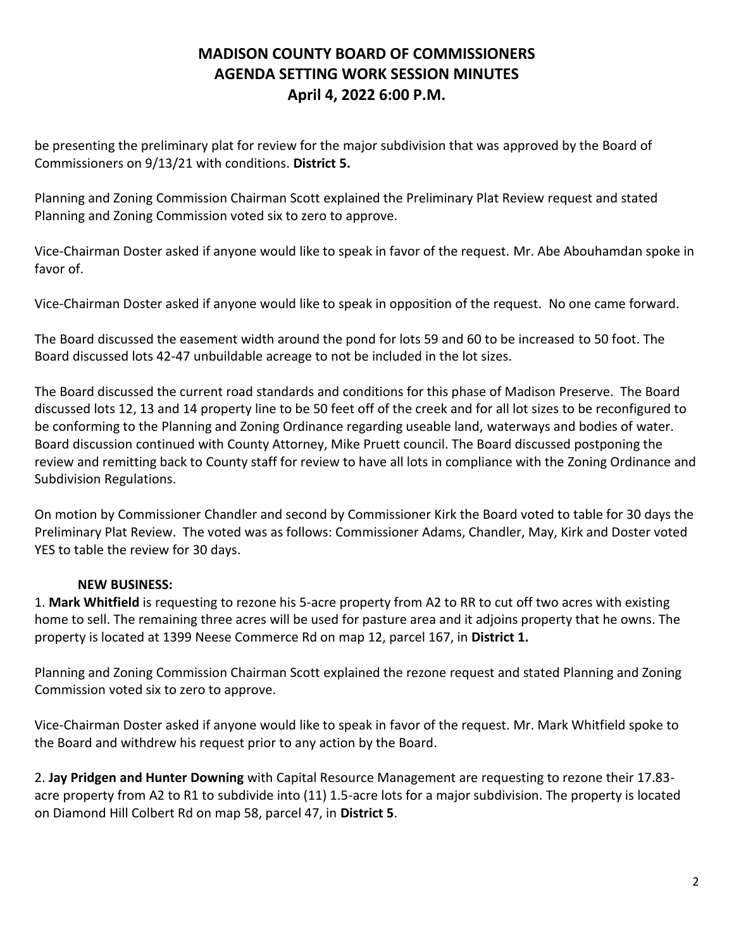be presenting the preliminary plat for review for the major subdivision that was approved by the Board of Commissioners on 9/13/21 with conditions. **District 5.**

Planning and Zoning Commission Chairman Scott explained the Preliminary Plat Review request and stated Planning and Zoning Commission voted six to zero to approve.

Vice-Chairman Doster asked if anyone would like to speak in favor of the request. Mr. Abe Abouhamdan spoke in favor of.

Vice-Chairman Doster asked if anyone would like to speak in opposition of the request. No one came forward.

The Board discussed the easement width around the pond for lots 59 and 60 to be increased to 50 foot. The Board discussed lots 42-47 unbuildable acreage to not be included in the lot sizes.

The Board discussed the current road standards and conditions for this phase of Madison Preserve. The Board discussed lots 12, 13 and 14 property line to be 50 feet off of the creek and for all lot sizes to be reconfigured to be conforming to the Planning and Zoning Ordinance regarding useable land, waterways and bodies of water. Board discussion continued with County Attorney, Mike Pruett council. The Board discussed postponing the review and remitting back to County staff for review to have all lots in compliance with the Zoning Ordinance and Subdivision Regulations.

On motion by Commissioner Chandler and second by Commissioner Kirk the Board voted to table for 30 days the Preliminary Plat Review. The voted was as follows: Commissioner Adams, Chandler, May, Kirk and Doster voted YES to table the review for 30 days.

### **NEW BUSINESS:**

1. **Mark Whitfield** is requesting to rezone his 5-acre property from A2 to RR to cut off two acres with existing home to sell. The remaining three acres will be used for pasture area and it adjoins property that he owns. The property is located at 1399 Neese Commerce Rd on map 12, parcel 167, in **District 1.**

Planning and Zoning Commission Chairman Scott explained the rezone request and stated Planning and Zoning Commission voted six to zero to approve.

Vice-Chairman Doster asked if anyone would like to speak in favor of the request. Mr. Mark Whitfield spoke to the Board and withdrew his request prior to any action by the Board.

2. **Jay Pridgen and Hunter Downing** with Capital Resource Management are requesting to rezone their 17.83 acre property from A2 to R1 to subdivide into (11) 1.5-acre lots for a major subdivision. The property is located on Diamond Hill Colbert Rd on map 58, parcel 47, in **District 5**.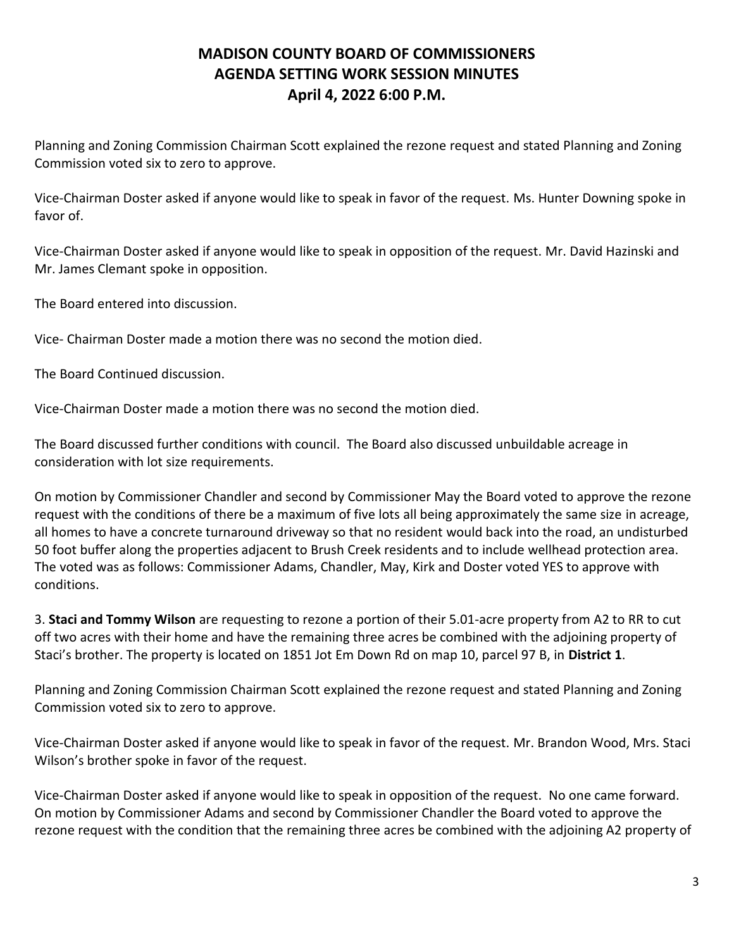Planning and Zoning Commission Chairman Scott explained the rezone request and stated Planning and Zoning Commission voted six to zero to approve.

Vice-Chairman Doster asked if anyone would like to speak in favor of the request. Ms. Hunter Downing spoke in favor of.

Vice-Chairman Doster asked if anyone would like to speak in opposition of the request. Mr. David Hazinski and Mr. James Clemant spoke in opposition.

The Board entered into discussion.

Vice- Chairman Doster made a motion there was no second the motion died.

The Board Continued discussion.

Vice-Chairman Doster made a motion there was no second the motion died.

The Board discussed further conditions with council. The Board also discussed unbuildable acreage in consideration with lot size requirements.

On motion by Commissioner Chandler and second by Commissioner May the Board voted to approve the rezone request with the conditions of there be a maximum of five lots all being approximately the same size in acreage, all homes to have a concrete turnaround driveway so that no resident would back into the road, an undisturbed 50 foot buffer along the properties adjacent to Brush Creek residents and to include wellhead protection area. The voted was as follows: Commissioner Adams, Chandler, May, Kirk and Doster voted YES to approve with conditions.

3. **Staci and Tommy Wilson** are requesting to rezone a portion of their 5.01-acre property from A2 to RR to cut off two acres with their home and have the remaining three acres be combined with the adjoining property of Staci's brother. The property is located on 1851 Jot Em Down Rd on map 10, parcel 97 B, in **District 1**.

Planning and Zoning Commission Chairman Scott explained the rezone request and stated Planning and Zoning Commission voted six to zero to approve.

Vice-Chairman Doster asked if anyone would like to speak in favor of the request. Mr. Brandon Wood, Mrs. Staci Wilson's brother spoke in favor of the request.

Vice-Chairman Doster asked if anyone would like to speak in opposition of the request. No one came forward. On motion by Commissioner Adams and second by Commissioner Chandler the Board voted to approve the rezone request with the condition that the remaining three acres be combined with the adjoining A2 property of